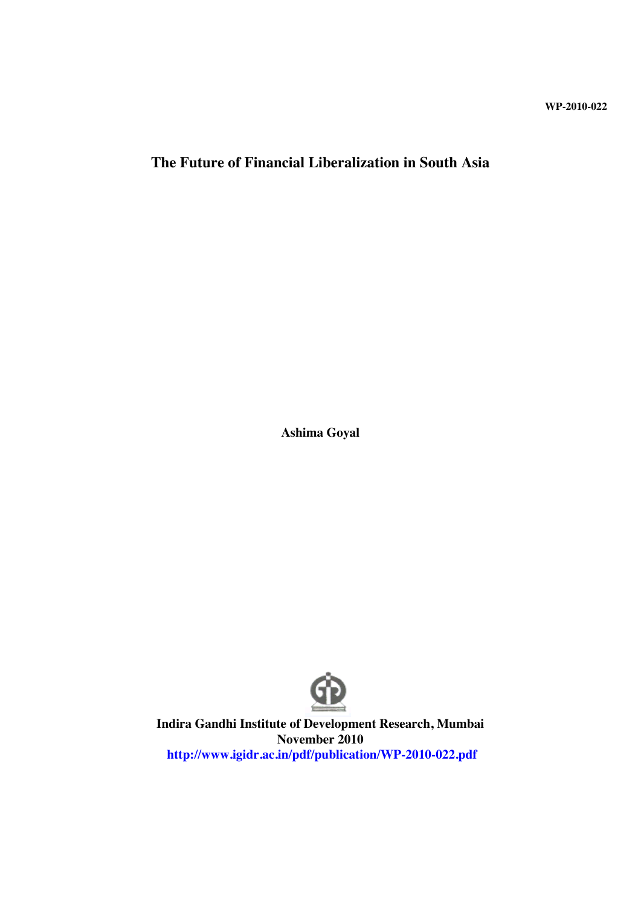**WP-2010-022**

# **The Future of Financial Liberalization in South Asia**

**Ashima Goyal**



**Indira Gandhi Institute of Development Research, Mumbai November 2010 http://www.igidr.ac.in/pdf/publication/WP-2010-022.pdf**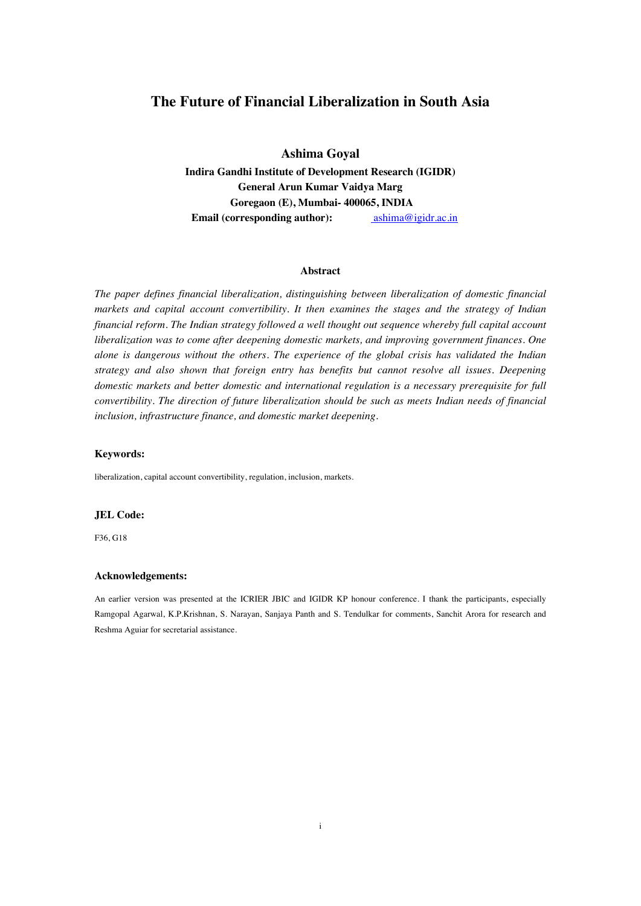# **The Future of Financial Liberalization in South Asia**

**Ashima Goyal**

**Indira Gandhi Institute of Development Research (IGIDR) General Arun Kumar Vaidya Marg Goregaon (E), Mumbai- 400065, INDIA Email (corresponding author):** ashima@igidr.ac.in

#### **Abstract**

*The paper defines financial liberalization, distinguishing between liberalization of domestic financial markets and capital account convertibility. It then examines the stages and the strategy of Indian financial reform. The Indian strategy followed a well thought out sequence whereby full capital account liberalization was to come after deepening domestic markets, and improving government finances. One alone is dangerous without the others. The experience of the global crisis has validated the Indian strategy and also shown that foreign entry has benefits but cannot resolve all issues. Deepening domestic markets and better domestic and international regulation is a necessary prerequisite for full convertibility. The direction of future liberalization should be such as meets Indian needs of financial inclusion, infrastructure finance, and domestic market deepening.*

#### **Keywords:**

liberalization, capital account convertibility, regulation, inclusion, markets.

#### **JEL Code:**

F36, G18

#### **Acknowledgements:**

An earlier version was presented at the ICRIER JBIC and IGIDR KP honour conference. I thank the participants, especially Ramgopal Agarwal, K.P.Krishnan, S. Narayan, Sanjaya Panth and S. Tendulkar for comments, Sanchit Arora for research and Reshma Aguiar for secretarial assistance.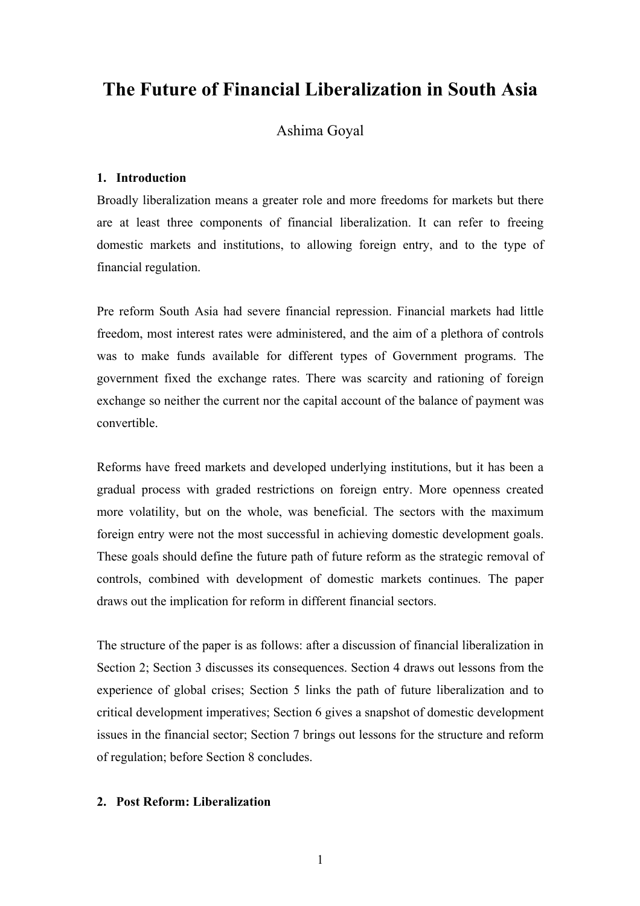# **The Future of Financial Liberalization in South Asia**

# Ashima Goyal

# **1. Introduction**

Broadly liberalization means a greater role and more freedoms for markets but there are at least three components of financial liberalization. It can refer to freeing domestic markets and institutions, to allowing foreign entry, and to the type of financial regulation.

Pre reform South Asia had severe financial repression. Financial markets had little freedom, most interest rates were administered, and the aim of a plethora of controls was to make funds available for different types of Government programs. The government fixed the exchange rates. There was scarcity and rationing of foreign exchange so neither the current nor the capital account of the balance of payment was convertible.

Reforms have freed markets and developed underlying institutions, but it has been a gradual process with graded restrictions on foreign entry. More openness created more volatility, but on the whole, was beneficial. The sectors with the maximum foreign entry were not the most successful in achieving domestic development goals. These goals should define the future path of future reform as the strategic removal of controls, combined with development of domestic markets continues. The paper draws out the implication for reform in different financial sectors.

The structure of the paper is as follows: after a discussion of financial liberalization in Section 2; Section 3 discusses its consequences. Section 4 draws out lessons from the experience of global crises; Section 5 links the path of future liberalization and to critical development imperatives; Section 6 gives a snapshot of domestic development issues in the financial sector; Section 7 brings out lessons for the structure and reform of regulation; before Section 8 concludes.

# **2. Post Reform: Liberalization**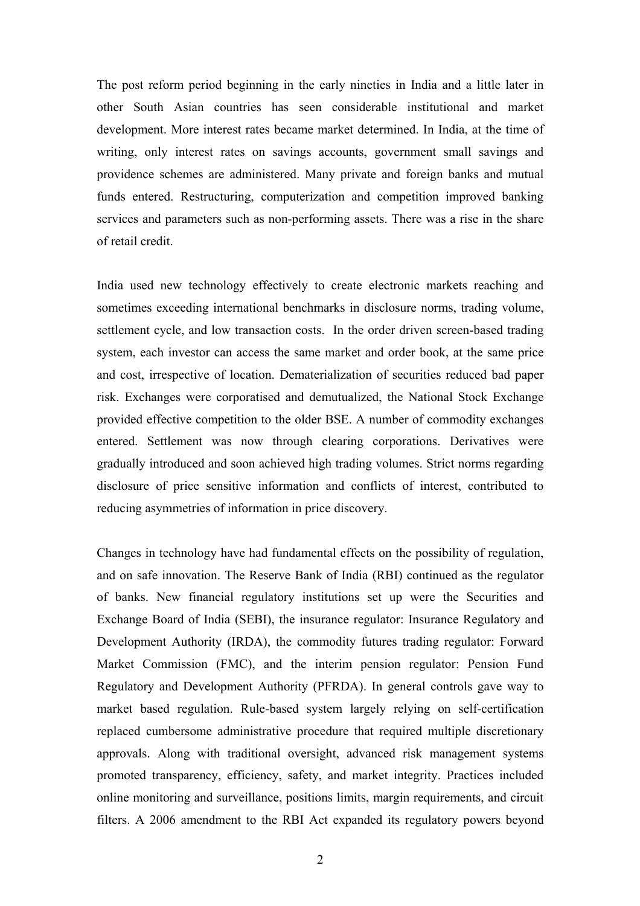The post reform period beginning in the early nineties in India and a little later in other South Asian countries has seen considerable institutional and market development. More interest rates became market determined. In India, at the time of writing, only interest rates on savings accounts, government small savings and providence schemes are administered. Many private and foreign banks and mutual funds entered. Restructuring, computerization and competition improved banking services and parameters such as non-performing assets. There was a rise in the share of retail credit.

India used new technology effectively to create electronic markets reaching and sometimes exceeding international benchmarks in disclosure norms, trading volume, settlement cycle, and low transaction costs. In the order driven screen-based trading system, each investor can access the same market and order book, at the same price and cost, irrespective of location. Dematerialization of securities reduced bad paper risk. Exchanges were corporatised and demutualized, the National Stock Exchange provided effective competition to the older BSE. A number of commodity exchanges entered. Settlement was now through clearing corporations. Derivatives were gradually introduced and soon achieved high trading volumes. Strict norms regarding disclosure of price sensitive information and conflicts of interest, contributed to reducing asymmetries of information in price discovery.

Changes in technology have had fundamental effects on the possibility of regulation, and on safe innovation. The Reserve Bank of India (RBI) continued as the regulator of banks. New financial regulatory institutions set up were the Securities and Exchange Board of India (SEBI), the insurance regulator: Insurance Regulatory and Development Authority (IRDA), the commodity futures trading regulator: Forward Market Commission (FMC), and the interim pension regulator: Pension Fund Regulatory and Development Authority (PFRDA). In general controls gave way to market based regulation. Rule-based system largely relying on self-certification replaced cumbersome administrative procedure that required multiple discretionary approvals. Along with traditional oversight, advanced risk management systems promoted transparency, efficiency, safety, and market integrity. Practices included online monitoring and surveillance, positions limits, margin requirements, and circuit filters. A 2006 amendment to the RBI Act expanded its regulatory powers beyond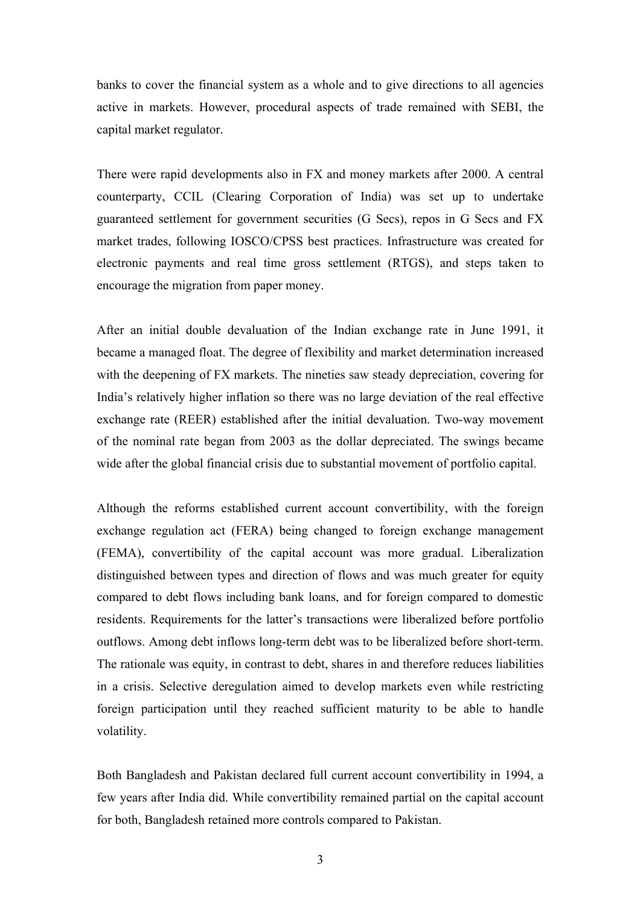banks to cover the financial system as a whole and to give directions to all agencies active in markets. However, procedural aspects of trade remained with SEBI, the capital market regulator.

There were rapid developments also in FX and money markets after 2000. A central counterparty, CCIL (Clearing Corporation of India) was set up to undertake guaranteed settlement for government securities (G Secs), repos in G Secs and FX market trades, following IOSCO/CPSS best practices. Infrastructure was created for electronic payments and real time gross settlement (RTGS), and steps taken to encourage the migration from paper money.

After an initial double devaluation of the Indian exchange rate in June 1991, it became a managed float. The degree of flexibility and market determination increased with the deepening of FX markets. The nineties saw steady depreciation, covering for India's relatively higher inflation so there was no large deviation of the real effective exchange rate (REER) established after the initial devaluation. Two-way movement of the nominal rate began from 2003 as the dollar depreciated. The swings became wide after the global financial crisis due to substantial movement of portfolio capital.

Although the reforms established current account convertibility, with the foreign exchange regulation act (FERA) being changed to foreign exchange management (FEMA), convertibility of the capital account was more gradual. Liberalization distinguished between types and direction of flows and was much greater for equity compared to debt flows including bank loans, and for foreign compared to domestic residents. Requirements for the latter's transactions were liberalized before portfolio outflows. Among debt inflows long-term debt was to be liberalized before short-term. The rationale was equity, in contrast to debt, shares in and therefore reduces liabilities in a crisis. Selective deregulation aimed to develop markets even while restricting foreign participation until they reached sufficient maturity to be able to handle volatility.

Both Bangladesh and Pakistan declared full current account convertibility in 1994, a few years after India did. While convertibility remained partial on the capital account for both, Bangladesh retained more controls compared to Pakistan.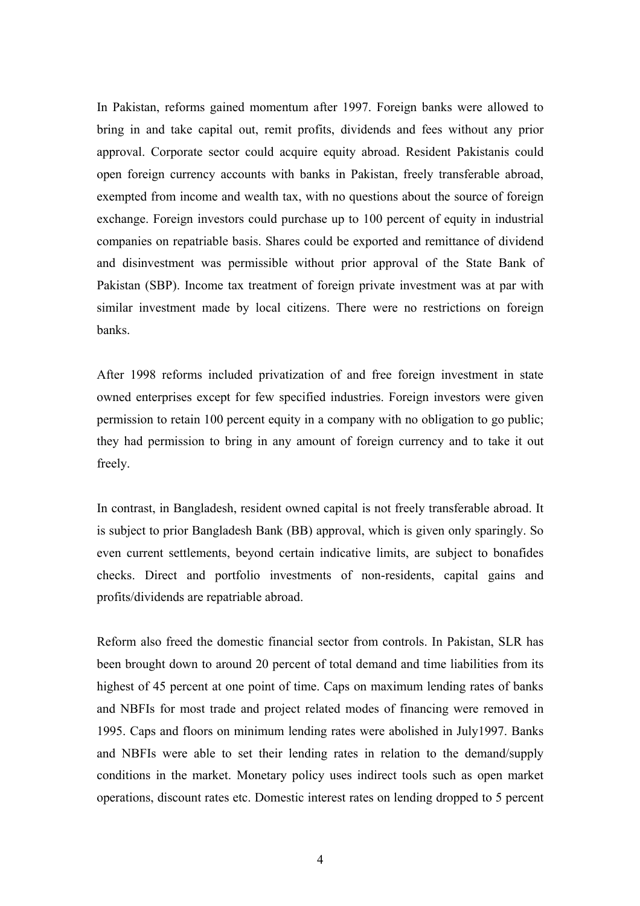In Pakistan, reforms gained momentum after 1997. Foreign banks were allowed to bring in and take capital out, remit profits, dividends and fees without any prior approval. Corporate sector could acquire equity abroad. Resident Pakistanis could open foreign currency accounts with banks in Pakistan, freely transferable abroad, exempted from income and wealth tax, with no questions about the source of foreign exchange. Foreign investors could purchase up to 100 percent of equity in industrial companies on repatriable basis. Shares could be exported and remittance of dividend and disinvestment was permissible without prior approval of the State Bank of Pakistan (SBP). Income tax treatment of foreign private investment was at par with similar investment made by local citizens. There were no restrictions on foreign banks.

After 1998 reforms included privatization of and free foreign investment in state owned enterprises except for few specified industries. Foreign investors were given permission to retain 100 percent equity in a company with no obligation to go public; they had permission to bring in any amount of foreign currency and to take it out freely.

In contrast, in Bangladesh, resident owned capital is not freely transferable abroad. It is subject to prior Bangladesh Bank (BB) approval, which is given only sparingly. So even current settlements, beyond certain indicative limits, are subject to bonafides checks. Direct and portfolio investments of non-residents, capital gains and profits/dividends are repatriable abroad.

Reform also freed the domestic financial sector from controls. In Pakistan, SLR has been brought down to around 20 percent of total demand and time liabilities from its highest of 45 percent at one point of time. Caps on maximum lending rates of banks and NBFIs for most trade and project related modes of financing were removed in 1995. Caps and floors on minimum lending rates were abolished in July1997. Banks and NBFIs were able to set their lending rates in relation to the demand/supply conditions in the market. Monetary policy uses indirect tools such as open market operations, discount rates etc. Domestic interest rates on lending dropped to 5 percent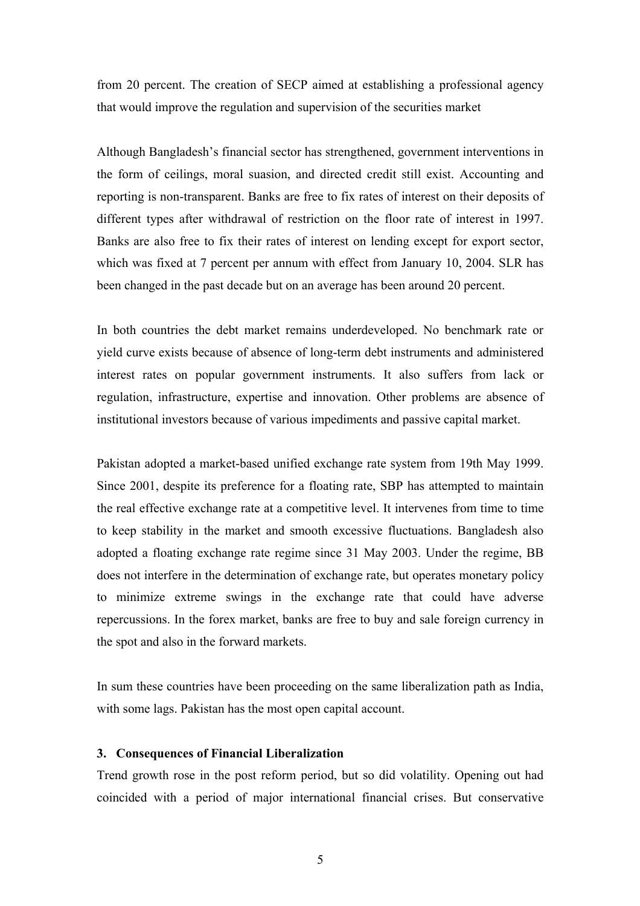from 20 percent. The creation of SECP aimed at establishing a professional agency that would improve the regulation and supervision of the securities market

Although Bangladesh's financial sector has strengthened, government interventions in the form of ceilings, moral suasion, and directed credit still exist. Accounting and reporting is non-transparent. Banks are free to fix rates of interest on their deposits of different types after withdrawal of restriction on the floor rate of interest in 1997. Banks are also free to fix their rates of interest on lending except for export sector, which was fixed at 7 percent per annum with effect from January 10, 2004. SLR has been changed in the past decade but on an average has been around 20 percent.

In both countries the debt market remains underdeveloped. No benchmark rate or yield curve exists because of absence of long-term debt instruments and administered interest rates on popular government instruments. It also suffers from lack or regulation, infrastructure, expertise and innovation. Other problems are absence of institutional investors because of various impediments and passive capital market.

Pakistan adopted a market-based unified exchange rate system from 19th May 1999. Since 2001, despite its preference for a floating rate, SBP has attempted to maintain the real effective exchange rate at a competitive level. It intervenes from time to time to keep stability in the market and smooth excessive fluctuations. Bangladesh also adopted a floating exchange rate regime since 31 May 2003. Under the regime, BB does not interfere in the determination of exchange rate, but operates monetary policy to minimize extreme swings in the exchange rate that could have adverse repercussions. In the forex market, banks are free to buy and sale foreign currency in the spot and also in the forward markets.

In sum these countries have been proceeding on the same liberalization path as India, with some lags. Pakistan has the most open capital account.

# **3. Consequences of Financial Liberalization**

Trend growth rose in the post reform period, but so did volatility. Opening out had coincided with a period of major international financial crises. But conservative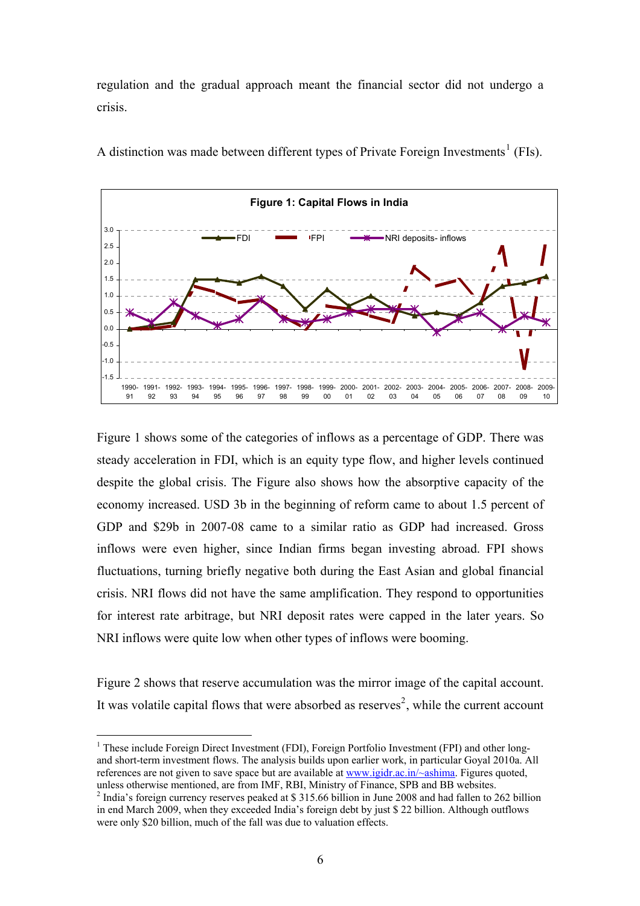regulation and the gradual approach meant the financial sector did not undergo a crisis.



A distinction was made between different types of Private Foreign Investments<sup>[1](#page-7-0)</sup> (FIs).

Figure 1 shows some of the categories of inflows as a percentage of GDP. There was steady acceleration in FDI, which is an equity type flow, and higher levels continued despite the global crisis. The Figure also shows how the absorptive capacity of the economy increased. USD 3b in the beginning of reform came to about 1.5 percent of GDP and \$29b in 2007-08 came to a similar ratio as GDP had increased. Gross inflows were even higher, since Indian firms began investing abroad. FPI shows fluctuations, turning briefly negative both during the East Asian and global financial crisis. NRI flows did not have the same amplification. They respond to opportunities for interest rate arbitrage, but NRI deposit rates were capped in the later years. So NRI inflows were quite low when other types of inflows were booming.

Figure 2 shows that reserve accumulation was the mirror image of the capital account. It was volatile capital flows that were absorbed as reserves<sup>[2](#page-7-1)</sup>, while the current account

 $\overline{a}$ 

<span id="page-7-0"></span><sup>&</sup>lt;sup>1</sup> These include Foreign Direct Investment (FDI), Foreign Portfolio Investment (FPI) and other longand short-term investment flows. The analysis builds upon earlier work, in particular Goyal 2010a. All references are not given to save space but are available at [www.igidr.ac.in/~ashima](http://www.igidr.ac.in/%7Eashima). Figures quoted, unless otherwise mentioned, are from IMF, RBI, Ministry of Finance, SPB and BB websites.

<span id="page-7-1"></span><sup>&</sup>lt;sup>2</sup> India's foreign currency reserves peaked at \$ 315.66 billion in June 2008 and had fallen to 262 billion in end March 2009, when they exceeded India's foreign debt by just \$ 22 billion. Although outflows were only \$20 billion, much of the fall was due to valuation effects.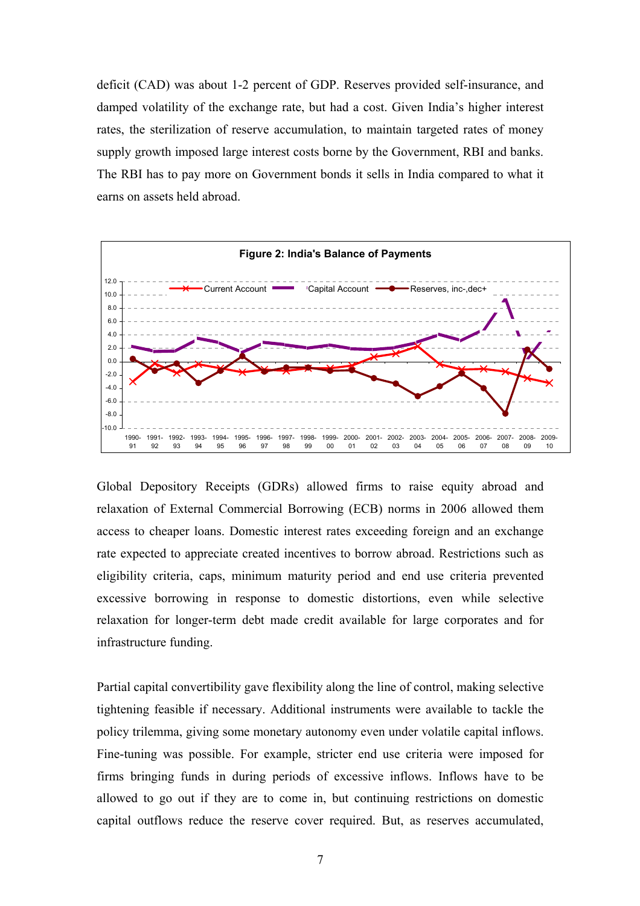deficit (CAD) was about 1-2 percent of GDP. Reserves provided self-insurance, and damped volatility of the exchange rate, but had a cost. Given India's higher interest rates, the sterilization of reserve accumulation, to maintain targeted rates of money supply growth imposed large interest costs borne by the Government, RBI and banks. The RBI has to pay more on Government bonds it sells in India compared to what it earns on assets held abroad.



Global Depository Receipts (GDRs) allowed firms to raise equity abroad and relaxation of External Commercial Borrowing (ECB) norms in 2006 allowed them access to cheaper loans. Domestic interest rates exceeding foreign and an exchange rate expected to appreciate created incentives to borrow abroad. Restrictions such as eligibility criteria, caps, minimum maturity period and end use criteria prevented excessive borrowing in response to domestic distortions, even while selective relaxation for longer-term debt made credit available for large corporates and for infrastructure funding.

Partial capital convertibility gave flexibility along the line of control, making selective tightening feasible if necessary. Additional instruments were available to tackle the policy trilemma, giving some monetary autonomy even under volatile capital inflows. Fine-tuning was possible. For example, stricter end use criteria were imposed for firms bringing funds in during periods of excessive inflows. Inflows have to be allowed to go out if they are to come in, but continuing restrictions on domestic capital outflows reduce the reserve cover required. But, as reserves accumulated,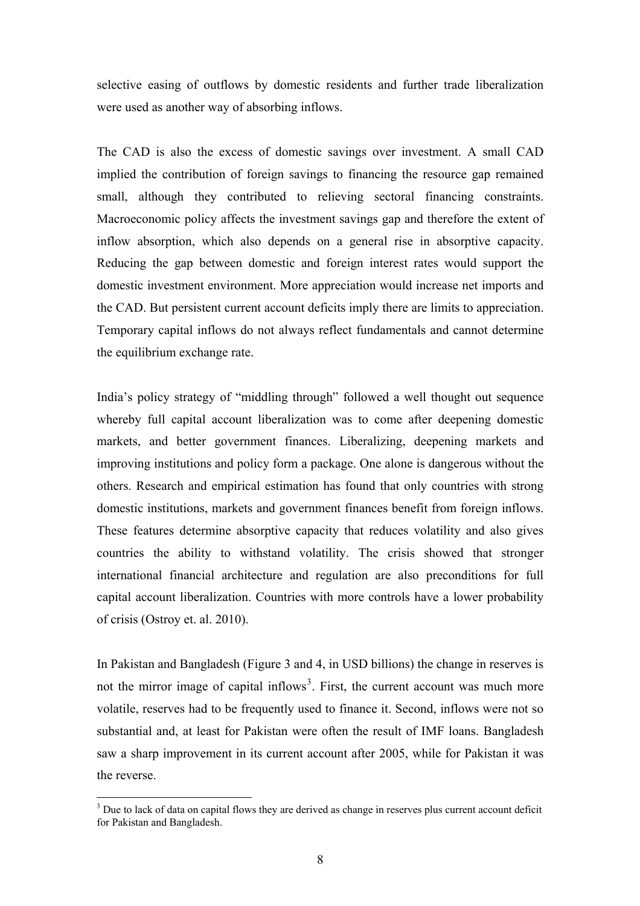selective easing of outflows by domestic residents and further trade liberalization were used as another way of absorbing inflows.

The CAD is also the excess of domestic savings over investment. A small CAD implied the contribution of foreign savings to financing the resource gap remained small, although they contributed to relieving sectoral financing constraints. Macroeconomic policy affects the investment savings gap and therefore the extent of inflow absorption, which also depends on a general rise in absorptive capacity. Reducing the gap between domestic and foreign interest rates would support the domestic investment environment. More appreciation would increase net imports and the CAD. But persistent current account deficits imply there are limits to appreciation. Temporary capital inflows do not always reflect fundamentals and cannot determine the equilibrium exchange rate.

India's policy strategy of "middling through" followed a well thought out sequence whereby full capital account liberalization was to come after deepening domestic markets, and better government finances. Liberalizing, deepening markets and improving institutions and policy form a package. One alone is dangerous without the others. Research and empirical estimation has found that only countries with strong domestic institutions, markets and government finances benefit from foreign inflows. These features determine absorptive capacity that reduces volatility and also gives countries the ability to withstand volatility. The crisis showed that stronger international financial architecture and regulation are also preconditions for full capital account liberalization. Countries with more controls have a lower probability of crisis (Ostroy et. al. 2010).

In Pakistan and Bangladesh (Figure 3 and 4, in USD billions) the change in reserves is the reverse. not the mirror image of capital inflows<sup>[3](#page-9-0)</sup>. First, the current account was much more volatile, reserves had to be frequently used to finance it. Second, inflows were not so substantial and, at least for Pakistan were often the result of IMF loans. Bangladesh saw a sharp improvement in its current account after 2005, while for Pakistan it was

 $\overline{a}$ 

<span id="page-9-0"></span> $3$  Due to lack of data on capital flows they are derived as change in reserves plus current account deficit for Pakistan and Bangladesh.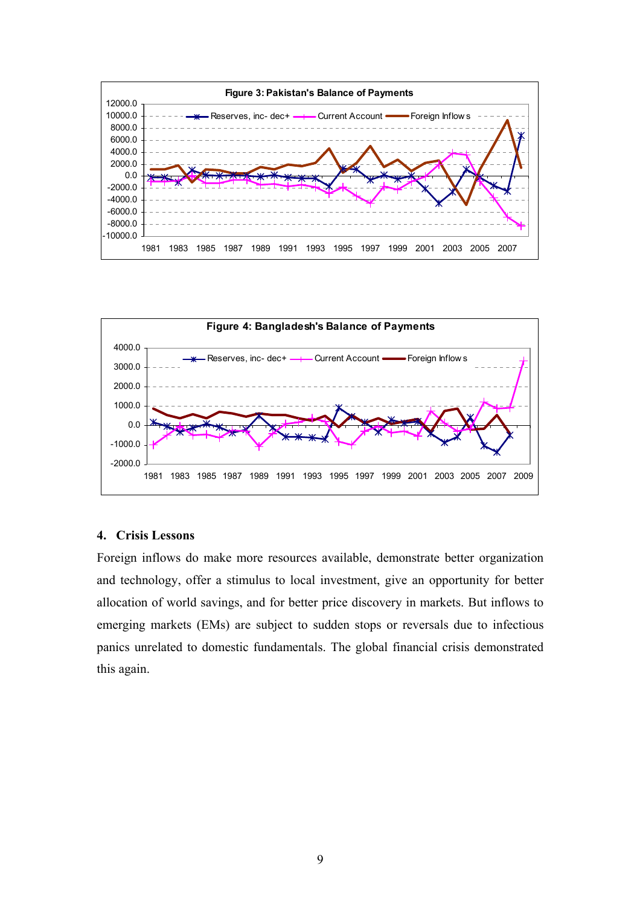



# **4. Crisis Lessons**

Foreign inflows do make more resources available, demonstrate better organization and technology, offer a stimulus to local investment, give an opportunity for better allocation of world savings, and for better price discovery in markets. But inflows to emerging markets (EMs) are subject to sudden stops or reversals due to infectious panics unrelated to domestic fundamentals. The global financial crisis demonstrated this again.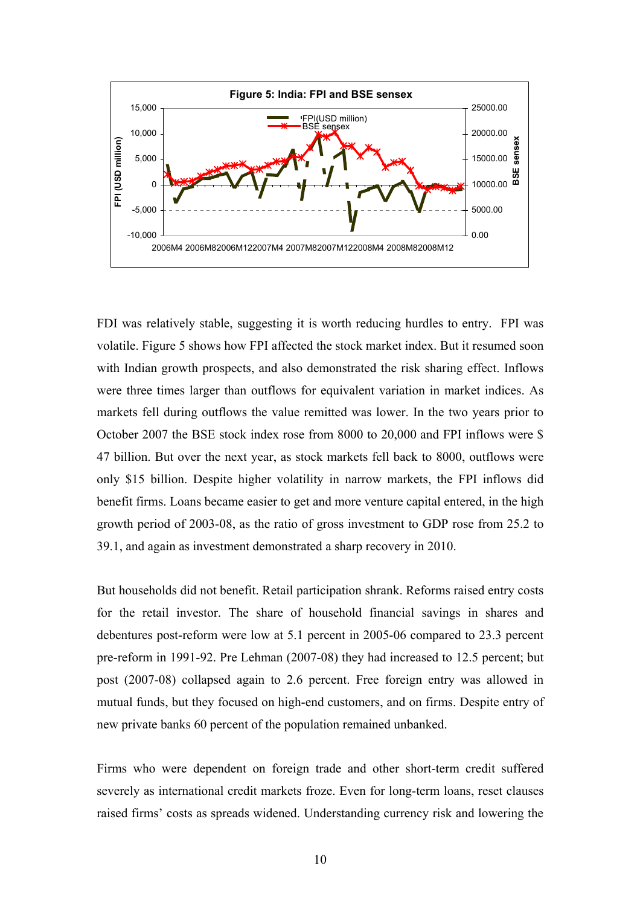

FDI was relatively stable, suggesting it is worth reducing hurdles to entry. FPI was volatile. Figure 5 shows how FPI affected the stock market index. But it resumed soon with Indian growth prospects, and also demonstrated the risk sharing effect. Inflows were three times larger than outflows for equivalent variation in market indices. As markets fell during outflows the value remitted was lower. In the two years prior to October 2007 the BSE stock index rose from 8000 to 20,000 and FPI inflows were \$ 47 billion. But over the next year, as stock markets fell back to 8000, outflows were only \$15 billion. Despite higher volatility in narrow markets, the FPI inflows did benefit firms. Loans became easier to get and more venture capital entered, in the high growth period of 2003-08, as the ratio of gross investment to GDP rose from 25.2 to 39.1, and again as investment demonstrated a sharp recovery in 2010.

But households did not benefit. Retail participation shrank. Reforms raised entry costs for the retail investor. The share of household financial savings in shares and debentures post-reform were low at 5.1 percent in 2005-06 compared to 23.3 percent pre-reform in 1991-92. Pre Lehman (2007-08) they had increased to 12.5 percent; but post (2007-08) collapsed again to 2.6 percent. Free foreign entry was allowed in mutual funds, but they focused on high-end customers, and on firms. Despite entry of new private banks 60 percent of the population remained unbanked.

Firms who were dependent on foreign trade and other short-term credit suffered severely as international credit markets froze. Even for long-term loans, reset clauses raised firms' costs as spreads widened. Understanding currency risk and lowering the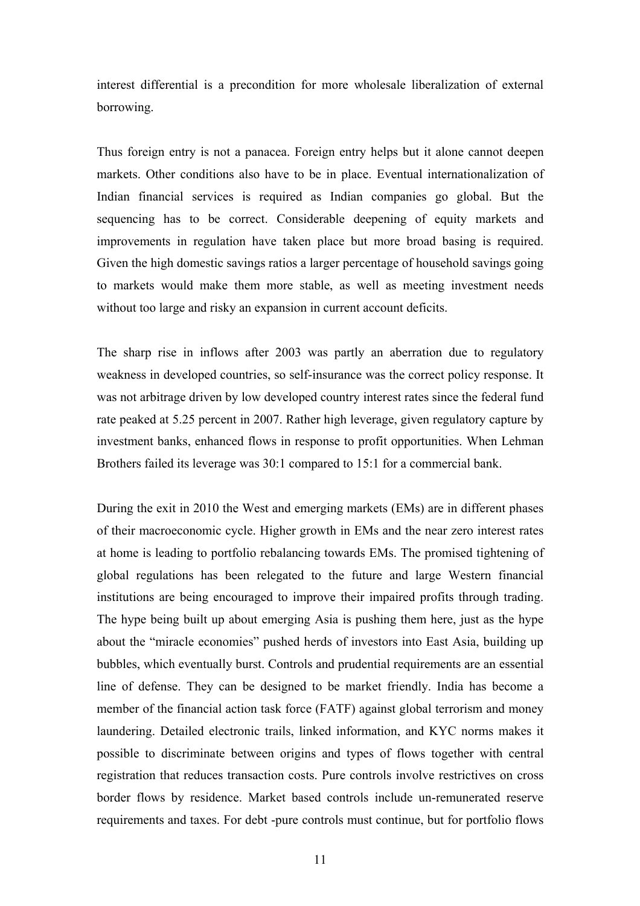interest differential is a precondition for more wholesale liberalization of external borrowing.

Thus foreign entry is not a panacea. Foreign entry helps but it alone cannot deepen markets. Other conditions also have to be in place. Eventual internationalization of Indian financial services is required as Indian companies go global. But the sequencing has to be correct. Considerable deepening of equity markets and improvements in regulation have taken place but more broad basing is required. Given the high domestic savings ratios a larger percentage of household savings going to markets would make them more stable, as well as meeting investment needs without too large and risky an expansion in current account deficits.

weakness in developed countries, so self-insurance was the correct policy response. It was not arbitrage driven by low developed country interest rates since the federal fund The sharp rise in inflows after 2003 was partly an aberration due to regulatory rate peaked at 5.25 percent in 2007. Rather high leverage, given regulatory capture by investment banks, enhanced flows in response to profit opportunities. When Lehman Brothers failed its leverage was 30:1 compared to 15:1 for a commercial bank.

of their macroeconomic cycle. Higher growth in EMs and the near zero interest rates at home is leading to portfolio rebalancing towards EMs. The promised tightening of During the exit in 2010 the West and emerging markets (EMs) are in different phases global regulations has been relegated to the future and large Western financial institutions are being encouraged to improve their impaired profits through trading. The hype being built up about emerging Asia is pushing them here, just as the hype about the "miracle economies" pushed herds of investors into East Asia, building up bubbles, which eventually burst. Controls and prudential requirements are an essential line of defense. They can be designed to be market friendly. India has become a member of the financial action task force (FATF) against global terrorism and money laundering. Detailed electronic trails, linked information, and KYC norms makes it possible to discriminate between origins and types of flows together with central registration that reduces transaction costs. Pure controls involve restrictives on cross border flows by residence. Market based controls include un-remunerated reserve requirements and taxes. For debt -pure controls must continue, but for portfolio flows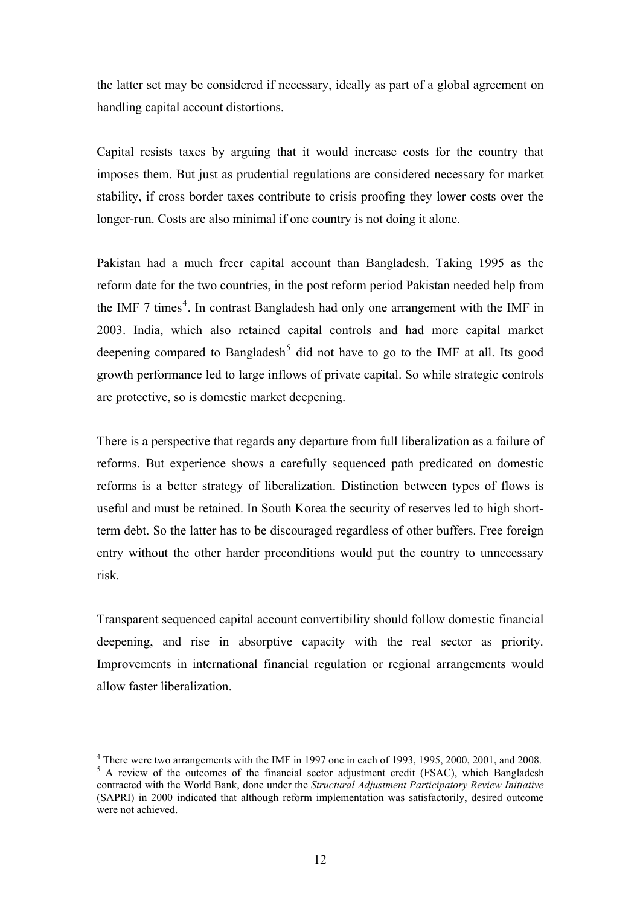the latter set may be considered if necessary, ideally as part of a global agreement on handling capital account distortions.

Capital resists taxes by arguing that it would increase costs for the country that imposes them. But just as prudential regulations are considered necessary for market stability, if cross border taxes contribute to crisis proofing they lower costs over the longer-run. Costs are also minimal if one country is not doing it alone.

reform date for the two countries, in the post reform period Pakistan needed help from the IMF 7 times<sup>4</sup>. In contrast Bangladesh had only one arrangement with the IMF in Pakistan had a much freer capital account than Bangladesh. Taking 1995 as the 2003. India, which also retained capital controls and had more capital market deepening compared to Bangladesh<sup>[5](#page-13-0)</sup> did not have to go to the IMF at all. Its good growth performance led to large inflows of private capital. So while strategic controls are protective, so is domestic market deepening.

reforms. But experience shows a carefully sequenced path predicated on domestic reforms is a better strategy of liberalization. Distinction between types of flows is There is a perspective that regards any departure from full liberalization as a failure of useful and must be retained. In South Korea the security of reserves led to high shortterm debt. So the latter has to be discouraged regardless of other buffers. Free foreign entry without the other harder preconditions would put the country to unnecessary risk.

deepening, and rise in absorptive capacity with the real sector as priority. Improvements in international financial regulation or regional arrangements would Transparent sequenced capital account convertibility should follow domestic financial allow faster liberalization.

 $\overline{a}$ 

<span id="page-13-0"></span><sup>&</sup>lt;sup>4</sup> There were two arrangements with the IMF in 1997 one in each of 1993, 1995, 2000, 2001, and 2008. <sup>5</sup> A review of the outcomes of the financial sector adjustment credit (FSAC), which Bangladesh contracted with the World Bank, done under the *Structural Adjustment Participatory Review Initiative*  (SAPRI) in 2000 indicated that although reform implementation was satisfactorily, desired outcome were not achieved.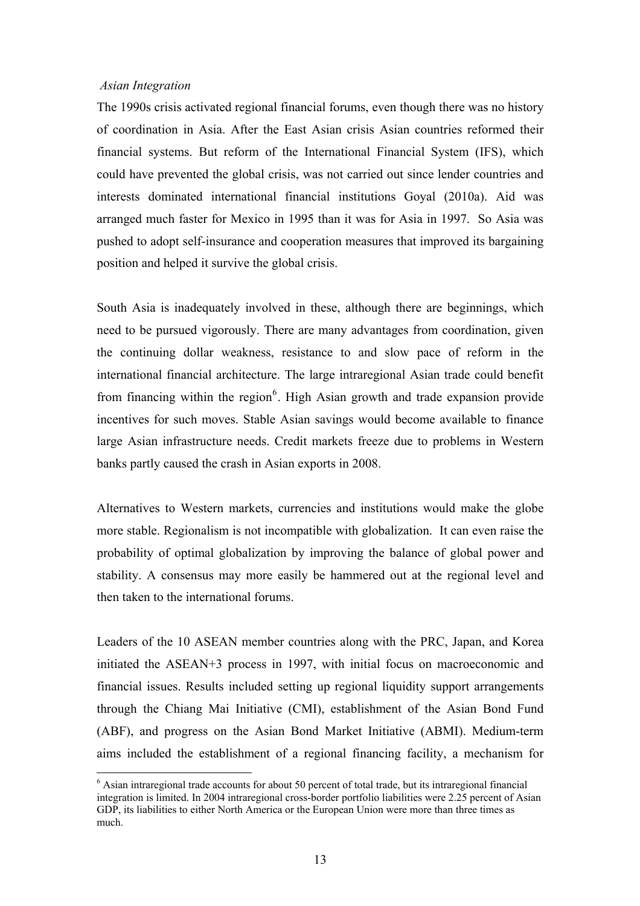#### *Asian Integration*

 $\overline{a}$ 

The 1990s crisis activated regional financial forums, even though there was no history of coordination in Asia. After the East Asian crisis Asian countries reformed their financial systems. But reform of the International Financial System (IFS), which could have prevented the global crisis, was not carried out since lender countries and interests dominated international financial institutions Goyal (2010a). Aid was arranged much faster for Mexico in 1995 than it was for Asia in 1997. So Asia was pushed to adopt self-insurance and cooperation measures that improved its bargaining position and helped it survive the global crisis.

need to be pursued vigorously. There are many advantages from coordination, given the continuing dollar weakness, resistance to and slow pace of reform in the South Asia is inadequately involved in these, although there are beginnings, which international financial architecture. The large intraregional Asian trade could benefit from financing within the region $<sup>6</sup>$  $<sup>6</sup>$  $<sup>6</sup>$ . High Asian growth and trade expansion provide</sup> incentives for such moves. Stable Asian savings would become available to finance large Asian infrastructure needs. Credit markets freeze due to problems in Western banks partly caused the crash in Asian exports in 2008.

more stable. Regionalism is not incompatible with globalization. It can even raise the probability of optimal globalization by improving the balance of global power and Alternatives to Western markets, currencies and institutions would make the globe stability. A consensus may more easily be hammered out at the regional level and then taken to the international forums.

initiated the ASEAN+3 process in 1997, with initial focus on macroeconomic and financial issues. Results included setting up regional liquidity support arrangements Leaders of the 10 ASEAN member countries along with the PRC, Japan, and Korea through the Chiang Mai Initiative (CMI), establishment of the Asian Bond Fund (ABF), and progress on the Asian Bond Market Initiative (ABMI). Medium-term aims included the establishment of a regional financing facility, a mechanism for

<span id="page-14-0"></span><sup>&</sup>lt;sup>6</sup> Asian intraregional trade accounts for about 50 percent of total trade, but its intraregional financial integration is limited. In 2004 intraregional cross-border portfolio liabilities were 2.25 percent of Asian GDP, its liabilities to either North America or the European Union were more than three times as much.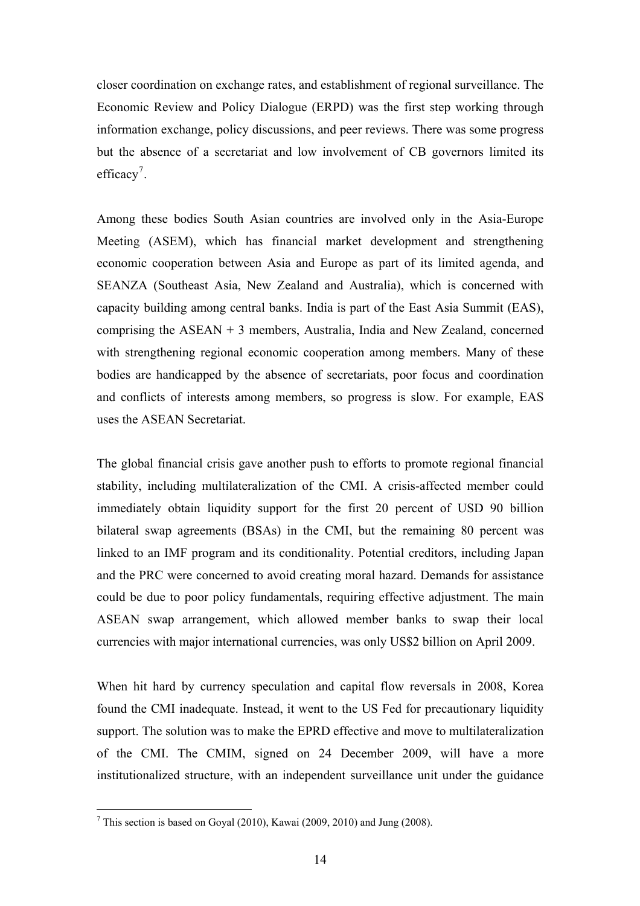closer coordination on exchange rates, and establishment of regional surveillance. The Economic Review and Policy Dialogue (ERPD) was the first step working through information exchange, policy discussions, and peer reviews. There was some progress but the absence of a secretariat and low involvement of CB governors limited its efficacy<sup>[7](#page-15-0)</sup>.

Among these bodies South Asian countries are involved only in the Asia-Europe Meeting (ASEM), which has financial market development and strengthening economic cooperation between Asia and Europe as part of its limited agenda, and SEANZA (Southeast Asia, New Zealand and Australia), which is concerned with capacity building among central banks. India is part of the East Asia Summit (EAS), comprising the ASEAN + 3 members, Australia, India and New Zealand, concerned with strengthening regional economic cooperation among members. Many of these bodies are handicapped by the absence of secretariats, poor focus and coordination and conflicts of interests among members, so progress is slow. For example, EAS uses the ASEAN Secretariat.

stability, including multilateralization of the CMI. A crisis-affected member could mediately obtain liquidity support for the first 20 percent of USD 90 billion im The global financial crisis gave another push to efforts to promote regional financial bilateral swap agreements (BSAs) in the CMI, but the remaining 80 percent was linked to an IMF program and its conditionality. Potential creditors, including Japan and the PRC were concerned to avoid creating moral hazard. Demands for assistance could be due to poor policy fundamentals, requiring effective adjustment. The main ASEAN swap arrangement, which allowed member banks to swap their local currencies with major international currencies, was only US\$2 billion on April 2009.

support. The solution was to make the EPRD effective and move to multilateralization When hit hard by currency speculation and capital flow reversals in 2008, Korea found the CMI inadequate. Instead, it went to the US Fed for precautionary liquidity of the CMI. The CMIM, signed on 24 December 2009, will have a more institutionalized structure, with an independent surveillance unit under the guidance

 $\overline{a}$ 

<span id="page-15-0"></span><sup>&</sup>lt;sup>7</sup> This section is based on Goyal (2010), Kawai (2009, 2010) and Jung (2008).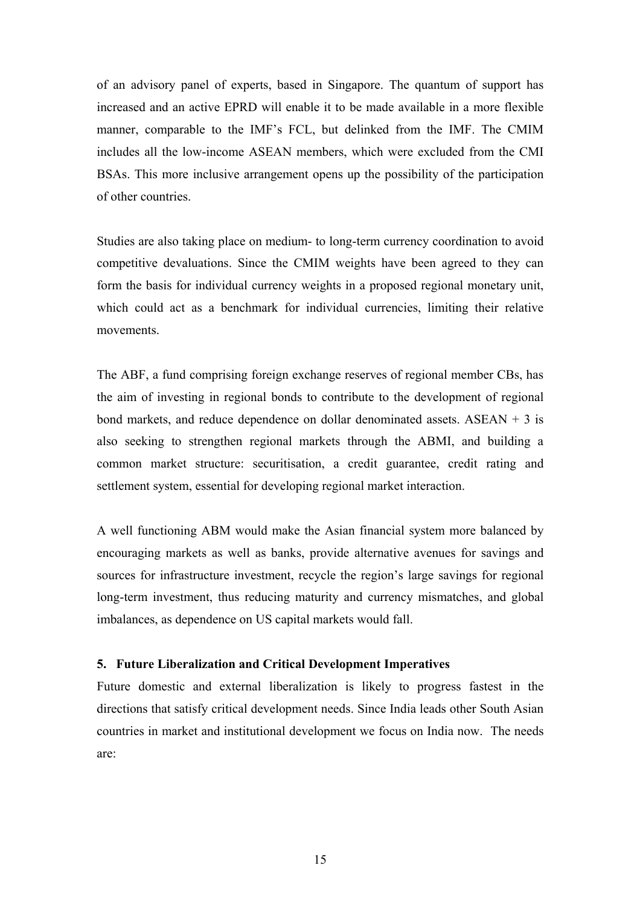of an advisory panel of experts, based in Singapore. The quantum of support has increased and an active EPRD will enable it to be made available in a more flexible manner, comparable to the IMF's FCL, but delinked from the IMF. The CMIM includes all the low-income ASEAN members, which were excluded from the CMI BSAs. This more inclusive arrangement opens up the possibility of the participation of other countries.

Studies are also taking place on medium- to long-term currency coordination to avoid competitive devaluations. Since the CMIM weights have been agreed to they can form the basis for individual currency weights in a proposed regional monetary unit, which could act as a benchmark for individual currencies, limiting their relative movements.

the aim of investing in regional bonds to contribute to the development of regional bond markets, and reduce dependence on dollar denominated assets.  $\text{ASEAN} + 3$  is The ABF, a fund comprising foreign exchange reserves of regional member CBs, has also seeking to strengthen regional markets through the ABMI, and building a common market structure: securitisation, a credit guarantee, credit rating and settlement system, essential for developing regional market interaction.

encouraging markets as well as banks, provide alternative avenues for savings and sources for infrastructure investment, recycle the region's large savings for regional A well functioning ABM would make the Asian financial system more balanced by long-term investment, thus reducing maturity and currency mismatches, and global imbalances, as dependence on US capital markets would fall.

# **5. Future Liberalization and Critical Development Imperatives**

Future domestic and external liberalization is likely to progress fastest in the directions that satisfy critical development needs. Since India leads other South Asian countries in market and institutional development we focus on India now. The needs are: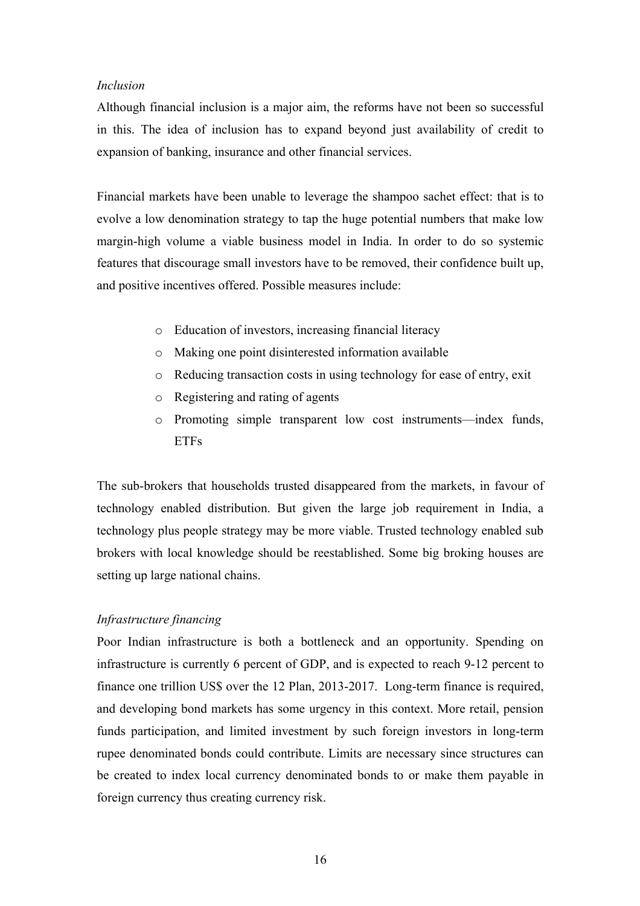# *Inclusion*

Although financial inclusion is a major aim, the reforms have not been so successful in this. The idea of inclusion has to expand beyond just availability of credit to expansion of banking, insurance and other financial services.

Financial markets have been unable to leverage the shampoo sachet effect: that is to evolve a low denomination strategy to tap the huge potential numbers that make low margin-high volume a viable business model in India. In order to do so systemic features that discourage small investors have to be removed, their confidence built up, and positive incentives offered. Possible measures include:

- o Education of investors, increasing financial literacy
- o Making one point disinterested information available
- o Reducing transaction costs in using technology for ease of entry, exit
- o Registering and rating of agents
- o Promoting simple transparent low cost instruments—index funds, **ETFs**

The sub-brokers that households trusted disappeared from the markets, in favour of technology enabled distribution. But given the large job requirement in India, a technology plus people strategy may be more viable. Trusted technology enabled sub brokers with local knowledge should be reestablished. Some big broking houses are setting up large national chains.

# *frastructure financing In*

Poor Indian infrastructure is both a bottleneck and an opportunity. Spending on infrastructure is currently 6 percent of GDP, and is expected to reach 9-12 percent to finance one trillion US\$ over the 12 Plan, 2013-2017. Long-term finance is required, and developing bond markets has some urgency in this context. More retail, pension funds participation, and limited investment by such foreign investors in long-term rupee denominated bonds could contribute. Limits are necessary since structures can be created to index local currency denominated bonds to or make them payable in foreign currency thus creating currency risk.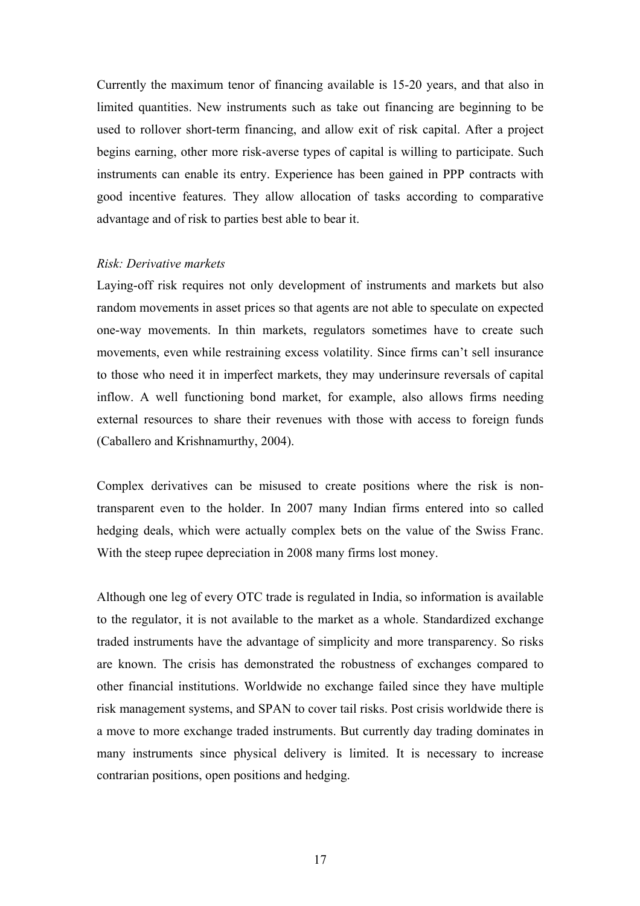Currently the maximum tenor of financing available is 15-20 years, and that also in limited quantities. New instruments such as take out financing are beginning to be used to rollover short-term financing, and allow exit of risk capital. After a project begins earning, other more risk-averse types of capital is willing to participate. Such instruments can enable its entry. Experience has been gained in PPP contracts with good incentive features. They allow allocation of tasks according to comparative advantage and of risk to parties best able to bear it.

### *isk: Derivative markets R*

Laying-off risk requires not only development of instruments and markets but also random movements in asset prices so that agents are not able to speculate on expected one-way movements. In thin markets, regulators sometimes have to create such movements, even while restraining excess volatility. Since firms can't sell insurance to those who need it in imperfect markets, they may underinsure reversals of capital inflow. A well functioning bond market, for example, also allows firms needing external resources to share their revenues with those with access to foreign funds (Caballero and Krishnamurthy, 2004).

Complex derivatives can be misused to create positions where the risk is nontransparent even to the holder. In 2007 many Indian firms entered into so called hedging deals, which were actually complex bets on the value of the Swiss Franc. With the steep rupee depreciation in 2008 many firms lost money.

Although one leg of every OTC trade is regulated in India, so information is available to the regulator, it is not available to the market as a whole. Standardized exchange traded instruments have the advantage of simplicity and more transparency. So risks are known. The crisis has demonstrated the robustness of exchanges compared to other financial institutions. Worldwide no exchange failed since they have multiple risk management systems, and SPAN to cover tail risks. Post crisis worldwide there is a move to more exchange traded instruments. But currently day trading dominates in many instruments since physical delivery is limited. It is necessary to increase contrarian positions, open positions and hedging.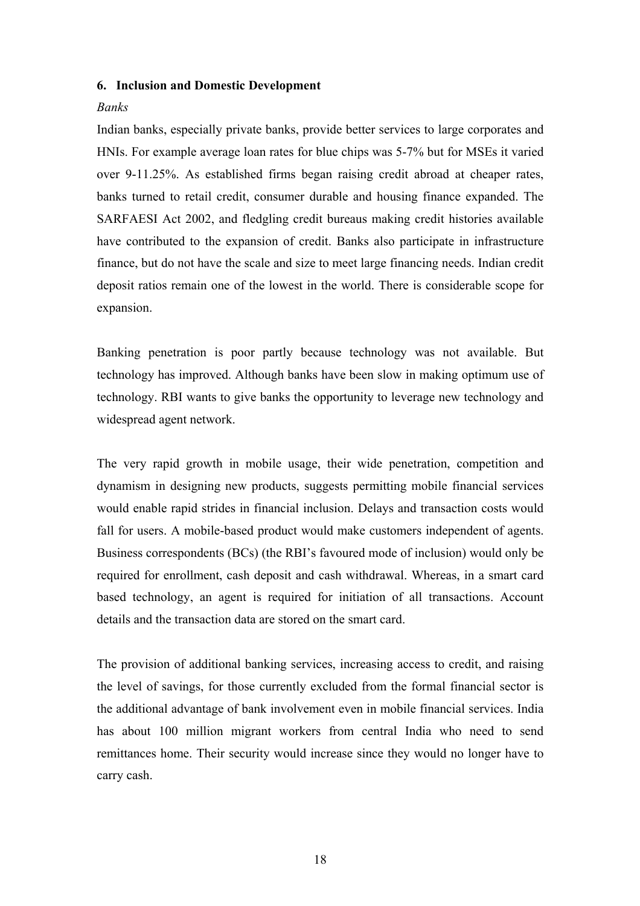### **6. Inclusion and Domestic Development**

### *Banks*

Indian banks, especially private banks, provide better services to large corporates and HNIs. For example average loan rates for blue chips was 5-7% but for MSEs it varied over 9-11.25%. As established firms began raising credit abroad at cheaper rates, banks turned to retail credit, consumer durable and housing finance expanded. The SARFAESI Act 2002, and fledgling credit bureaus making credit histories available have contributed to the expansion of credit. Banks also participate in infrastructure finance, but do not have the scale and size to meet large financing needs. Indian credit deposit ratios remain one of the lowest in the world. There is considerable scope for expansion.

Banking penetration is poor partly because technology was not available. But technology has improved. Although banks have been slow in making optimum use of technology. RBI wants to give banks the opportunity to leverage new technology and widespread agent network.

The very rapid growth in mobile usage, their wide penetration, competition and dynamism in designing new products, suggests permitting mobile financial services would enable rapid strides in financial inclusion. Delays and transaction costs would fall for users. A mobile-based product would make customers independent of agents. Business correspondents (BCs) (the RBI's favoured mode of inclusion) would only be required for enrollment, cash deposit and cash withdrawal. Whereas, in a smart card based technology, an agent is required for initiation of all transactions. Account details and the transaction data are stored on the smart card.

The provision of additional banking services, increasing access to credit, and raising the level of savings, for those currently excluded from the formal financial sector is the additional advantage of bank involvement even in mobile financial services. India has about 100 million migrant workers from central India who need to send remittances home. Their security would increase since they would no longer have to carry cash.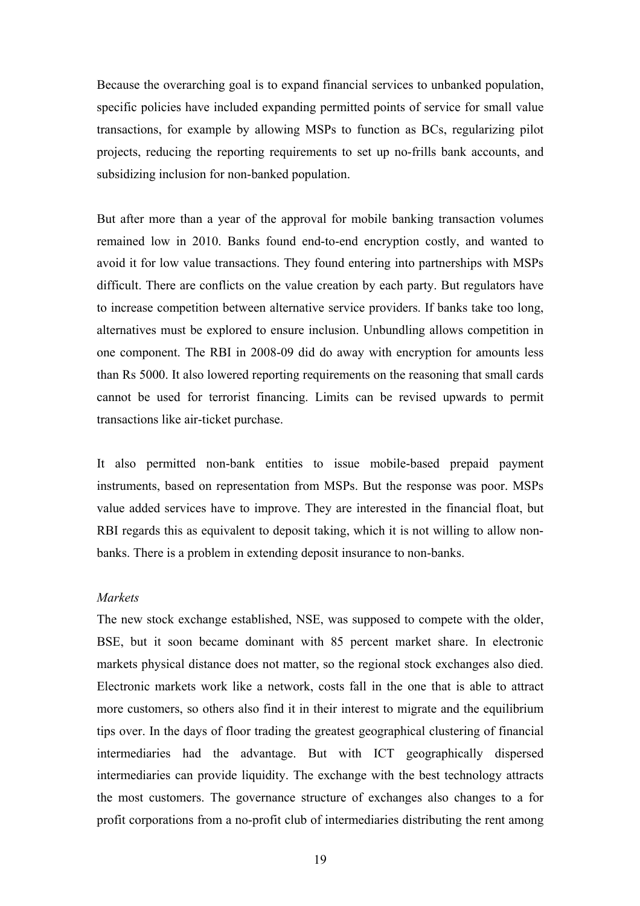Because the overarching goal is to expand financial services to unbanked population, specific policies have included expanding permitted points of service for small value transactions, for example by allowing MSPs to function as BCs, regularizing pilot projects, reducing the reporting requirements to set up no-frills bank accounts, and subsidizing inclusion for non-banked population.

But after more than a year of the approval for mobile banking transaction volumes remained low in 2010. Banks found end-to-end encryption costly, and wanted to avoid it for low value transactions. They found entering into partnerships with MSPs difficult. There are conflicts on the value creation by each party. But regulators have to increase competition between alternative service providers. If banks take too long, alternatives must be explored to ensure inclusion. Unbundling allows competition in one component. The RBI in 2008-09 did do away with encryption for amounts less than Rs 5000. It also lowered reporting requirements on the reasoning that small cards cannot be used for terrorist financing. Limits can be revised upwards to permit transactions like air-ticket purchase.

It also permitted non-bank entities to issue mobile-based prepaid payment instruments, based on representation from MSPs. But the response was poor. MSPs value added services have to improve. They are interested in the financial float, but RBI regards this as equivalent to deposit taking, which it is not willing to allow nonbanks. There is a problem in extending deposit insurance to non-banks.

# *Markets*

The new stock exchange established, NSE, was supposed to compete with the older, BSE, but it soon became dominant with 85 percent market share. In electronic markets physical distance does not matter, so the regional stock exchanges also died. Electronic markets work like a network, costs fall in the one that is able to attract more customers, so others also find it in their interest to migrate and the equilibrium tips over. In the days of floor trading the greatest geographical clustering of financial intermediaries had the advantage. But with ICT geographically dispersed intermediaries can provide liquidity. The exchange with the best technology attracts the most customers. The governance structure of exchanges also changes to a for profit corporations from a no-profit club of intermediaries distributing the rent among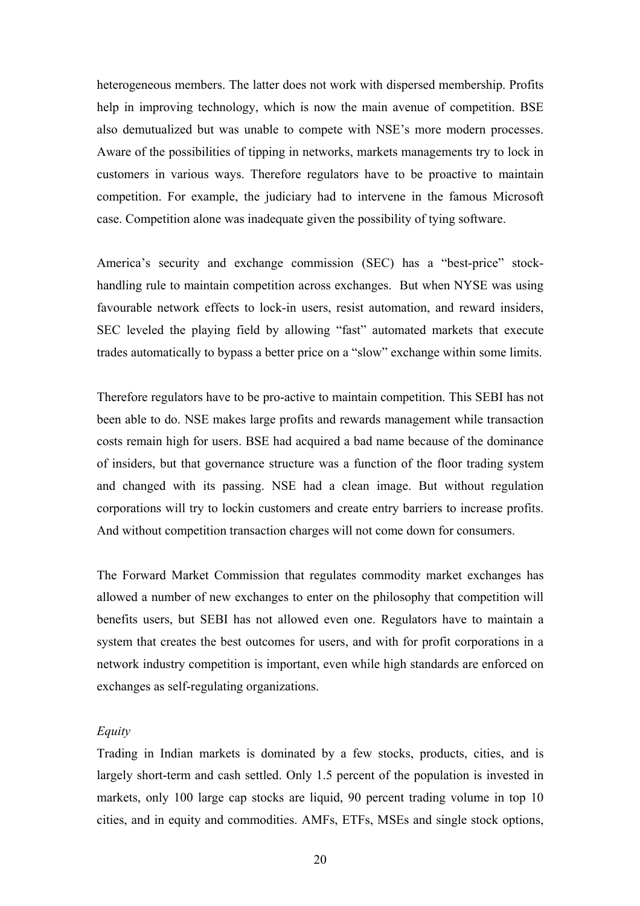heterogeneous members. The latter does not work with dispersed membership. Profits help in improving technology, which is now the main avenue of competition. BSE also demutualized but was unable to compete with NSE's more modern processes. Aware of the possibilities of tipping in networks, markets managements try to lock in customers in various ways. Therefore regulators have to be proactive to maintain competition. For example, the judiciary had to intervene in the famous Microsoft case. Competition alone was inadequate given the possibility of tying software.

America's security and exchange commission (SEC) has a "best-price" stockhandling rule to maintain competition across exchanges. But when NYSE was using favourable network effects to lock-in users, resist automation, and reward insiders, SEC leveled the playing field by allowing "fast" automated markets that execute trades automatically to bypass a better price on a "slow" exchange within some limits.

Therefore regulators have to be pro-active to maintain competition. This SEBI has not been able to do. NSE makes large profits and rewards management while transaction costs remain high for users. BSE had acquired a bad name because of the dominance of insiders, but that governance structure was a function of the floor trading system and changed with its passing. NSE had a clean image. But without regulation corporations will try to lockin customers and create entry barriers to increase profits. And without competition transaction charges will not come down for consumers.

The Forward Market Commission that regulates commodity market exchanges has allowed a number of new exchanges to enter on the philosophy that competition will benefits users, but SEBI has not allowed even one. Regulators have to maintain a system that creates the best outcomes for users, and with for profit corporations in a network industry competition is important, even while high standards are enforced on exchanges as self-regulating organizations.

## *Equity*

Trading in Indian markets is dominated by a few stocks, products, cities, and is largely short-term and cash settled. Only 1.5 percent of the population is invested in markets, only 100 large cap stocks are liquid, 90 percent trading volume in top 10 cities, and in equity and commodities. AMFs, ETFs, MSEs and single stock options,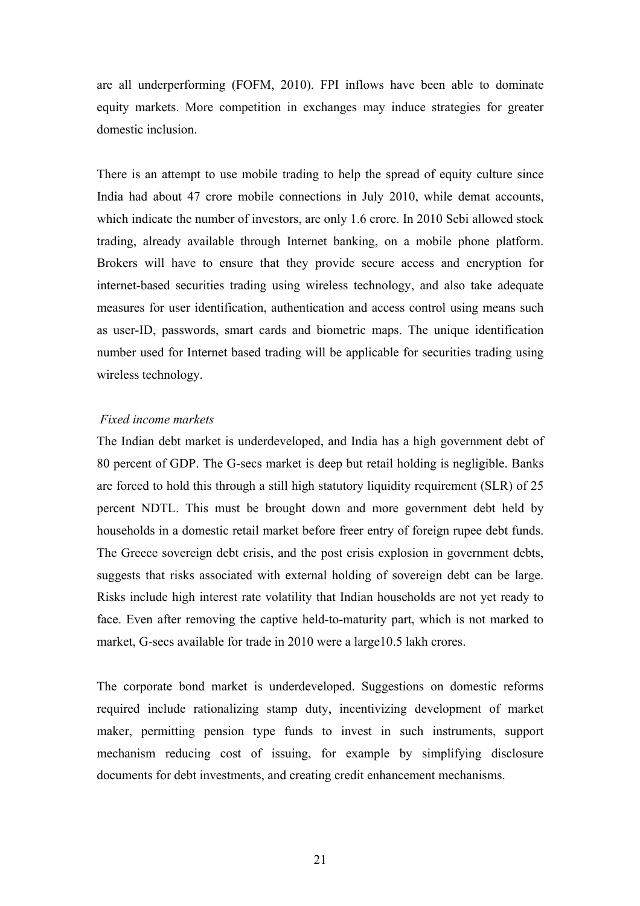are all underperforming (FOFM, 2010). FPI inflows have been able to dominate equity markets. More competition in exchanges may induce strategies for greater domestic inclusion.

There is an attempt to use mobile trading to help the spread of equity culture since India had about 47 crore mobile connections in July 2010, while demat accounts, which indicate the number of investors, are only 1.6 crore. In 2010 Sebi allowed stock trading, already available through Internet banking, on a mobile phone platform. Brokers will have to ensure that they provide secure access and encryption for internet-based securities trading using wireless technology, and also take adequate measures for user identification, authentication and access control using means such as user-ID, passwords, smart cards and biometric maps. The unique identification number used for Internet based trading will be applicable for securities trading using wireless technology.

# *Fixed income markets*

The Indian debt market is underdeveloped, and India has a high government debt of 80 percent of GDP. The G-secs market is deep but retail holding is negligible. Banks are forced to hold this through a still high statutory liquidity requirement (SLR) of 25 percent NDTL. This must be brought down and more government debt held by households in a domestic retail market before freer entry of foreign rupee debt funds. The Greece sovereign debt crisis, and the post crisis explosion in government debts, suggests that risks associated with external holding of sovereign debt can be large. Risks include high interest rate volatility that Indian households are not yet ready to face. Even after removing the captive held-to-maturity part, which is not marked to market, G-secs available for trade in 2010 were a large 10.5 lakh crores.

The corporate bond market is underdeveloped. Suggestions on domestic reforms required include rationalizing stamp duty, incentivizing development of market maker, permitting pension type funds to invest in such instruments, support mechanism reducing cost of issuing, for example by simplifying disclosure documents for debt investments, and creating credit enhancement mechanisms.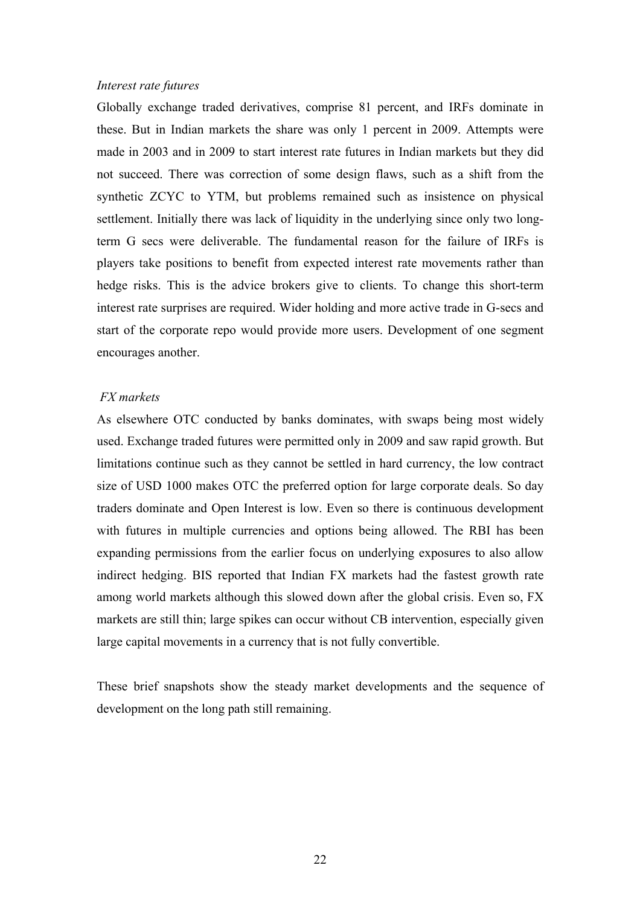# *Interest rate futures*

Globally exchange traded derivatives, comprise 81 percent, and IRFs dominate in these. But in Indian markets the share was only 1 percent in 2009. Attempts were made in 2003 and in 2009 to start interest rate futures in Indian markets but they did not succeed. There was correction of some design flaws, such as a shift from the synthetic ZCYC to YTM, but problems remained such as insistence on physical settlement. Initially there was lack of liquidity in the underlying since only two longterm G secs were deliverable. The fundamental reason for the failure of IRFs is players take positions to benefit from expected interest rate movements rather than hedge risks. This is the advice brokers give to clients. To change this short-term interest rate surprises are required. Wider holding and more active trade in G-secs and start of the corporate repo would provide more users. Development of one segment encourages another.

# *FX markets*

As elsewhere OTC conducted by banks dominates, with swaps being most widely used. Exchange traded futures were permitted only in 2009 and saw rapid growth. But limitations continue such as they cannot be settled in hard currency, the low contract size of USD 1000 makes OTC the preferred option for large corporate deals. So day traders dominate and Open Interest is low. Even so there is continuous development with futures in multiple currencies and options being allowed. The RBI has been expanding permissions from the earlier focus on underlying exposures to also allow indirect hedging. BIS reported that Indian FX markets had the fastest growth rate among world markets although this slowed down after the global crisis. Even so, FX markets are still thin; large spikes can occur without CB intervention, especially given large capital movements in a currency that is not fully convertible.

These brief snapshots show the steady market developments and the sequence of development on the long path still remaining.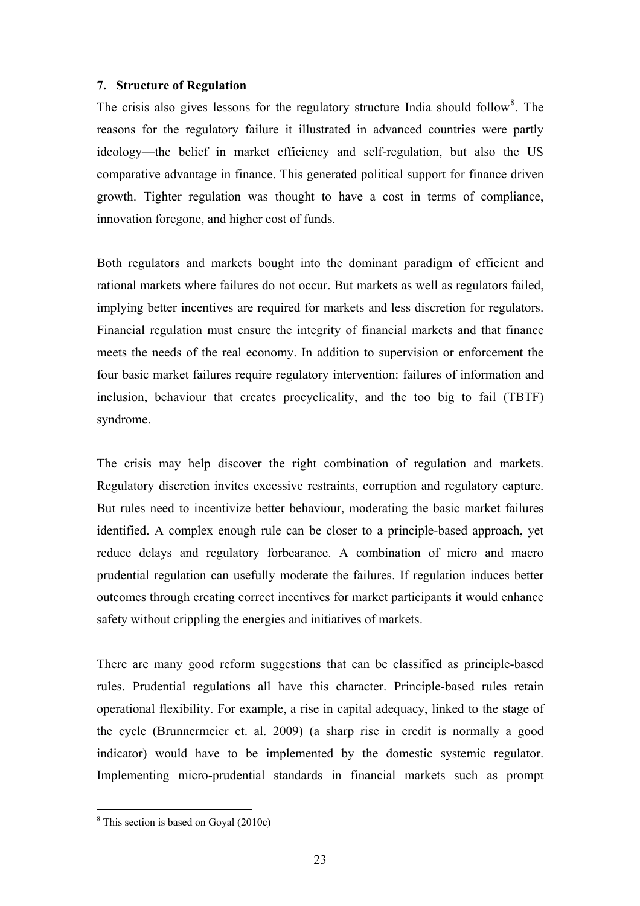### **7. Structure of Regulation**

The crisis also gives lessons for the regulatory structure India should follow<sup>[8](#page-24-0)</sup>. The reasons for the regulatory failure it illustrated in advanced countries were partly ideology—the belief in market efficiency and self-regulation, but also the US comparative advantage in finance. This generated political support for finance driven growth. Tighter regulation was thought to have a cost in terms of compliance, innovation foregone, and higher cost of funds.

Both regulators and markets bought into the dominant paradigm of efficient and rational markets where failures do not occur. But markets as well as regulators failed, implying better incentives are required for markets and less discretion for regulators. Financial regulation must ensure the integrity of financial markets and that finance meets the needs of the real economy. In addition to supervision or enforcement the four basic market failures require regulatory intervention: failures of information and inclusion, behaviour that creates procyclicality, and the too big to fail (TBTF) syndrome.

The crisis may help discover the right combination of regulation and markets. Regulatory discretion invites excessive restraints, corruption and regulatory capture. But rules need to incentivize better behaviour, moderating the basic market failures identified. A complex enough rule can be closer to a principle-based approach, yet reduce delays and regulatory forbearance. A combination of micro and macro prudential regulation can usefully moderate the failures. If regulation induces better outcomes through creating correct incentives for market participants it would enhance safety without crippling the energies and initiatives of markets.

There are many good reform suggestions that can be classified as principle-based rules. Prudential regulations all have this character. Principle-based rules retain operational flexibility. For example, a rise in capital adequacy, linked to the stage of the cycle (Brunnermeier et. al. 2009) (a sharp rise in credit is normally a good indicator) would have to be implemented by the domestic systemic regulator. Implementing micro-prudential standards in financial markets such as prompt

 $\overline{a}$ 

<span id="page-24-0"></span><sup>&</sup>lt;sup>8</sup> This section is based on Goyal (2010c)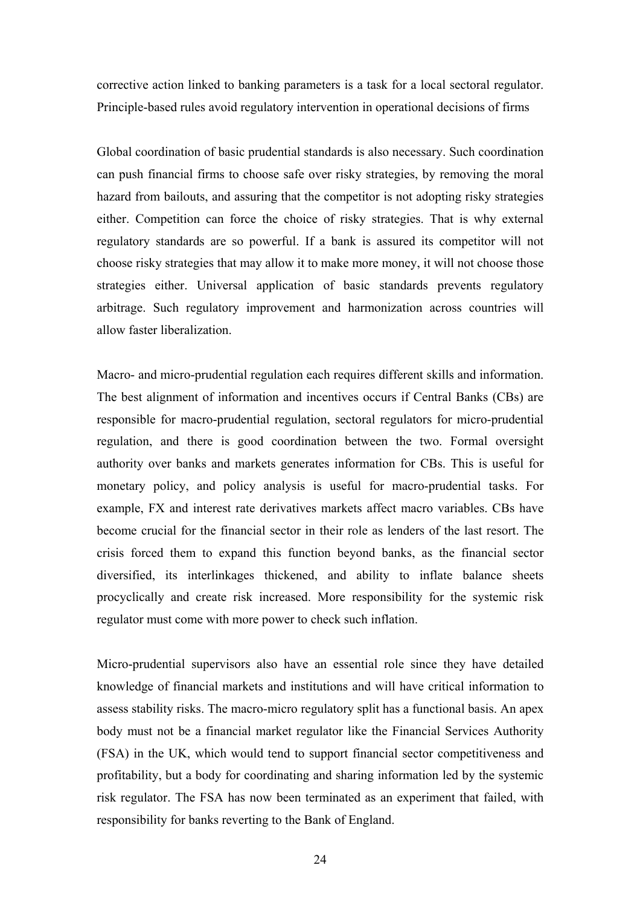corrective action linked to banking parameters is a task for a local sectoral regulator. Principle-based rules avoid regulatory intervention in operational decisions of firms

Global coordination of basic prudential standards is also necessary. Such coordination can push financial firms to choose safe over risky strategies, by removing the moral hazard from bailouts, and assuring that the competitor is not adopting risky strategies either. Competition can force the choice of risky strategies. That is why external regulatory standards are so powerful. If a bank is assured its competitor will not choose risky strategies that may allow it to make more money, it will not choose those strategies either. Universal application of basic standards prevents regulatory arbitrage. Such regulatory improvement and harmonization across countries will allow faster liberalization.

Macro- and micro-prudential regulation each requires different skills and information. The best alignment of information and incentives occurs if Central Banks (CBs) are responsible for macro-prudential regulation, sectoral regulators for micro-prudential regulation, and there is good coordination between the two. Formal oversight authority over banks and markets generates information for CBs. This is useful for monetary policy, and policy analysis is useful for macro-prudential tasks. For example, FX and interest rate derivatives markets affect macro variables. CBs have become crucial for the financial sector in their role as lenders of the last resort. The crisis forced them to expand this function beyond banks, as the financial sector diversified, its interlinkages thickened, and ability to inflate balance sheets procyclically and create risk increased. More responsibility for the systemic risk regulator must come with more power to check such inflation.

Micro-prudential supervisors also have an essential role since they have detailed knowledge of financial markets and institutions and will have critical information to assess stability risks. The macro-micro regulatory split has a functional basis. An apex body must not be a financial market regulator like the Financial Services Authority (FSA) in the UK, which would tend to support financial sector competitiveness and profitability, but a body for coordinating and sharing information led by the systemic risk regulator. The FSA has now been terminated as an experiment that failed, with responsibility for banks reverting to the Bank of England.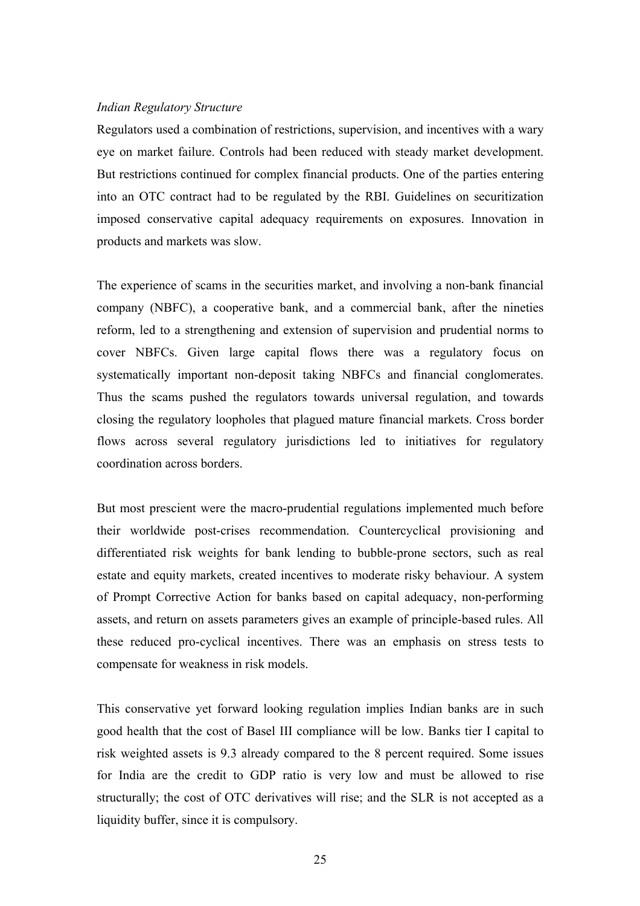## *Indian Regulatory Structure*

Regulators used a combination of restrictions, supervision, and incentives with a wary eye on market failure. Controls had been reduced with steady market development. But restrictions continued for complex financial products. One of the parties entering into an OTC contract had to be regulated by the RBI. Guidelines on securitization imposed conservative capital adequacy requirements on exposures. Innovation in products and markets was slow.

The experience of scams in the securities market, and involving a non-bank financial company (NBFC), a cooperative bank, and a commercial bank, after the nineties reform, led to a strengthening and extension of supervision and prudential norms to cover NBFCs. Given large capital flows there was a regulatory focus on systematically important non-deposit taking NBFCs and financial conglomerates. Thus the scams pushed the regulators towards universal regulation, and towards closing the regulatory loopholes that plagued mature financial markets. Cross border flows across several regulatory jurisdictions led to initiatives for regulatory coordination across borders.

But most prescient were the macro-prudential regulations implemented much before their worldwide post-crises recommendation. Countercyclical provisioning and differentiated risk weights for bank lending to bubble-prone sectors, such as real estate and equity markets, created incentives to moderate risky behaviour. A system of Prompt Corrective Action for banks based on capital adequacy, non-performing assets, and return on assets parameters gives an example of principle-based rules. All these reduced pro-cyclical incentives. There was an emphasis on stress tests to compensate for weakness in risk models.

This conservative yet forward looking regulation implies Indian banks are in such good health that the cost of Basel III compliance will be low. Banks tier I capital to risk weighted assets is 9.3 already compared to the 8 percent required. Some issues for India are the credit to GDP ratio is very low and must be allowed to rise structurally; the cost of OTC derivatives will rise; and the SLR is not accepted as a liquidity buffer, since it is compulsory.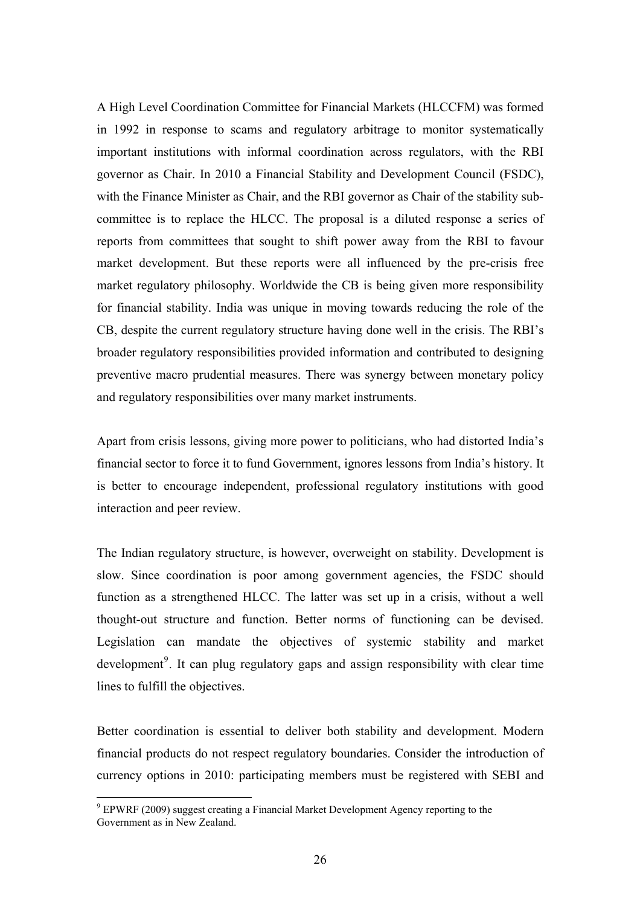A High Level Coordination Committee for Financial Markets (HLCCFM) was formed in 1992 in response to scams and regulatory arbitrage to monitor systematically important institutions with informal coordination across regulators, with the RBI governor as Chair. In 2010 a Financial Stability and Development Council (FSDC), with the Finance Minister as Chair, and the RBI governor as Chair of the stability subcommittee is to replace the HLCC. The proposal is a diluted response a series of reports from committees that sought to shift power away from the RBI to favour market development. But these reports were all influenced by the pre-crisis free market regulatory philosophy. Worldwide the CB is being given more responsibility for financial stability. India was unique in moving towards reducing the role of the CB, despite the current regulatory structure having done well in the crisis. The RBI's broader regulatory responsibilities provided information and contributed to designing preventive macro prudential measures. There was synergy between monetary policy and regulatory responsibilities over many market instruments.

Apart from crisis lessons, giving more power to politicians, who had distorted India's financial sector to force it to fund Government, ignores lessons from India's history. It is better to encourage independent, professional regulatory institutions with good interaction and peer review.

The Indian regulatory structure, is however, overweight on stability. Development is slow. Since coordination is poor among government agencies, the FSDC should function as a strengthened HLCC. The latter was set up in a crisis, without a well thought-out structure and function. Better norms of functioning can be devised. Legislation can mandate the objectives of systemic stability and market development<sup>[9](#page-27-0)</sup>. It can plug regulatory gaps and assign responsibility with clear time lines to fulfill the objectives.

Better coordination is essential to deliver both stability and development. Modern financial products do not respect regulatory boundaries. Consider the introduction of currency options in 2010: participating members must be registered with SEBI and

 $\overline{a}$ 

<span id="page-27-0"></span> $9$  EPWRF (2009) suggest creating a Financial Market Development Agency reporting to the Government as in New Zealand.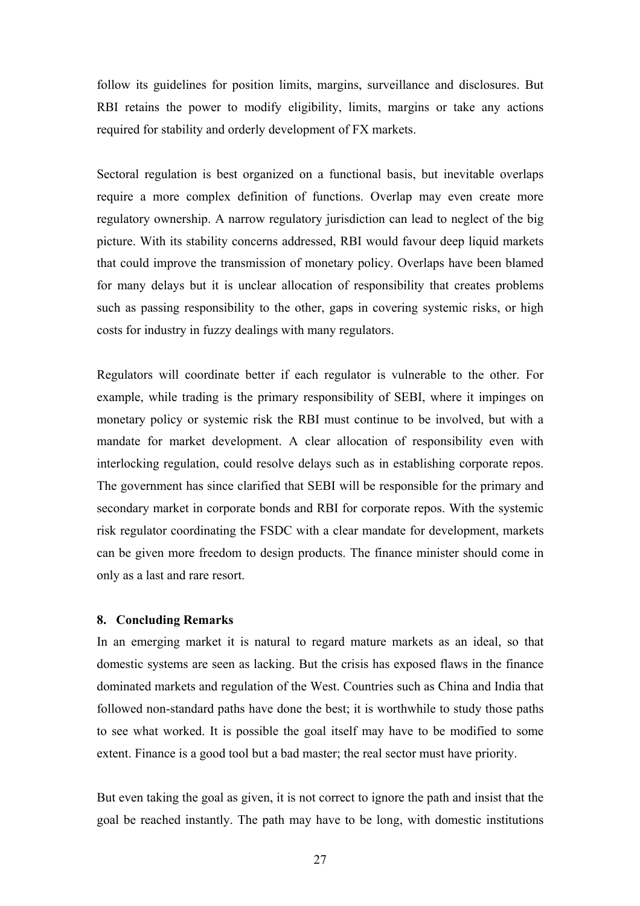follow its guidelines for position limits, margins, surveillance and disclosures. But RBI retains the power to modify eligibility, limits, margins or take any actions required for stability and orderly development of FX markets.

Sectoral regulation is best organized on a functional basis, but inevitable overlaps require a more complex definition of functions. Overlap may even create more regulatory ownership. A narrow regulatory jurisdiction can lead to neglect of the big picture. With its stability concerns addressed, RBI would favour deep liquid markets that could improve the transmission of monetary policy. Overlaps have been blamed for many delays but it is unclear allocation of responsibility that creates problems such as passing responsibility to the other, gaps in covering systemic risks, or high costs for industry in fuzzy dealings with many regulators.

Regulators will coordinate better if each regulator is vulnerable to the other. For example, while trading is the primary responsibility of SEBI, where it impinges on monetary policy or systemic risk the RBI must continue to be involved, but with a mandate for market development. A clear allocation of responsibility even with interlocking regulation, could resolve delays such as in establishing corporate repos. The government has since clarified that SEBI will be responsible for the primary and secondary market in corporate bonds and RBI for corporate repos. With the systemic risk regulator coordinating the FSDC with a clear mandate for development, markets can be given more freedom to design products. The finance minister should come in only as a last and rare resort.

# **8. Concluding Remarks**

In an emerging market it is natural to regard mature markets as an ideal, so that domestic systems are seen as lacking. But the crisis has exposed flaws in the finance dominated markets and regulation of the West. Countries such as China and India that followed non-standard paths have done the best; it is worthwhile to study those paths to see what worked. It is possible the goal itself may have to be modified to some extent. Finance is a good tool but a bad master; the real sector must have priority.

But even taking the goal as given, it is not correct to ignore the path and insist that the goal be reached instantly. The path may have to be long, with domestic institutions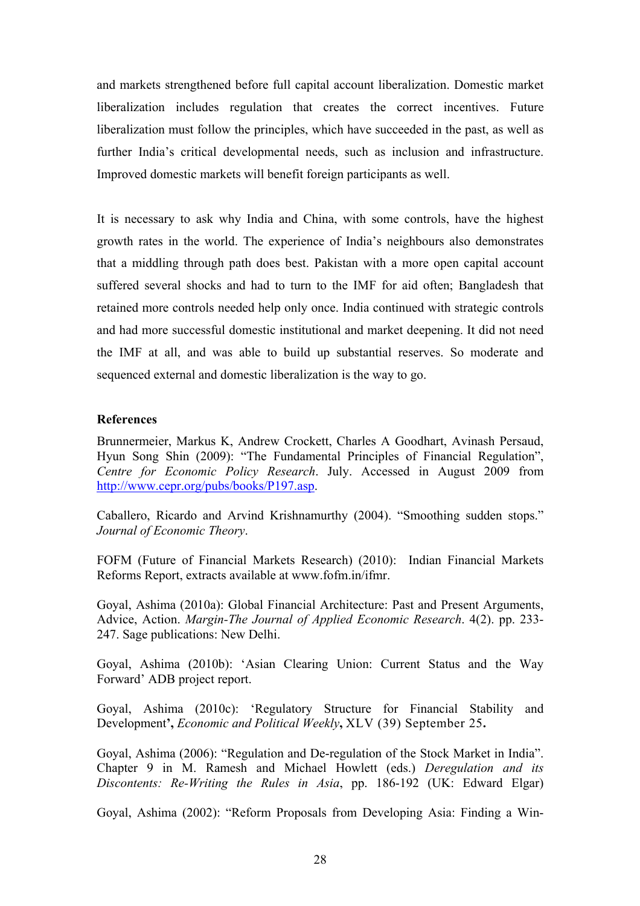and markets strengthened before full capital account liberalization. Domestic market liberalization includes regulation that creates the correct incentives. Future liberalization must follow the principles, which have succeeded in the past, as well as further India's critical developmental needs, such as inclusion and infrastructure. Improved domestic markets will benefit foreign participants as well.

It is necessary to ask why India and China, with some controls, have the highest growth rates in the world. The experience of India's neighbours also demonstrates that a middling through path does best. Pakistan with a more open capital account suffered several shocks and had to turn to the IMF for aid often; Bangladesh that retained more controls needed help only once. India continued with strategic controls and had more successful domestic institutional and market deepening. It did not need the IMF at all, and was able to build up substantial reserves. So moderate and sequenced external and domestic liberalization is the way to go.

# **References**

Brunnermeier, Markus K, Andrew Crockett, Charles A Goodhart, Avinash Persaud, Hyun Song Shin (2009): "The Fundamental Principles of Financial Regulation", *Centre for Economic Policy Research*. July. Accessed in August 2009 from <http://www.cepr.org/pubs/books/P197.asp>.

Caballero, Ricardo and Arvind Krishnamurthy (2004). "Smoothing sudden stops." *Journal of Economic Theory*.

FOFM (Future of Financial Markets Research) (2010): Indian Financial Markets Reforms Report, extracts available at www.fofm.in/ifmr.

Goyal, Ashima (2010a): Global Financial Architecture: Past and Present Arguments, Advice, Action. *Margin-The Journal of Applied Economic Research*. 4(2). pp. 233- 247. Sage publications: New Delhi.

Goyal, Ashima (2010b): 'Asian Clearing Union: Current Status and the Way Forward' ADB project report.

Goyal, Ashima (2010c): 'Regulatory Structure for Financial Stability and Development**',** *Economic and Political Weekly***,** XLV (39) September 25**.**

Goyal, Ashima (2006): "Regulation and De-regulation of the Stock Market in India". Chapter 9 in M. Ramesh and Michael Howlett (eds.) *Deregulation and its Discontents: Re-Writing the Rules in Asia*, pp. 186-192 (UK: Edward Elgar)

Goyal, Ashima (2002): "Reform Proposals from Developing Asia: Finding a Win-